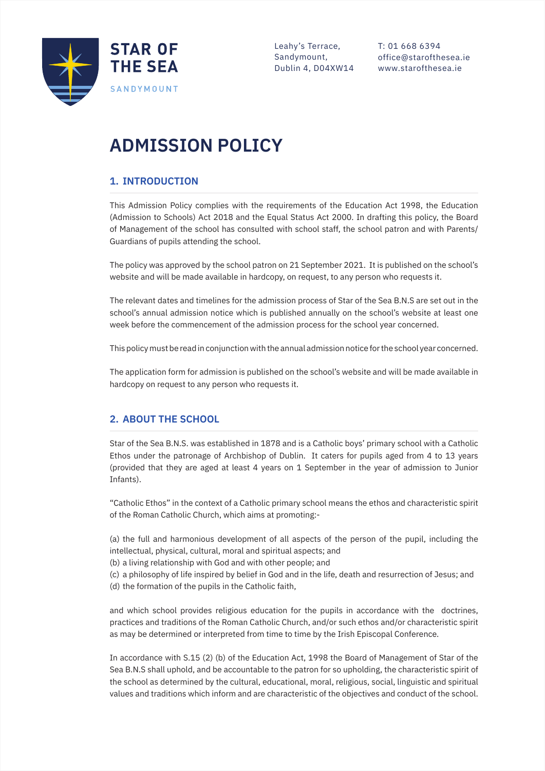

Leahy's Terrace, Sandymount, Dublin 4, D04XW14 T: 01 668 6394 office@starofthesea.ie www.starofthesea.ie

# **ADMISSION POLICY**

# **1. INTRODUCTION**

j

This Admission Policy complies with the requirements of the Education Act 1998, the Education (Admission to Schools) Act 2018 and the Equal Status Act 2000. In drafting this policy, the Board of Management of the school has consulted with school staff, the school patron and with Parents/ Guardians of pupils attending the school.

The policy was approved by the school patron on 21 September 2021. It is published on the school's website and will be made available in hardcopy, on request, to any person who requests it.

The relevant dates and timelines for the admission process of Star of the Sea B.N.S are set out in the school's annual admission notice which is published annually on the school's website at least one week before the commencement of the admission process for the school year concerned.

This policy must be read in conjunction with the annual admission notice for the school year concerned.

The application form for admission is published on the school's website and will be made available in hardcopy on request to any person who requests it.

# **2. ABOUT THE SCHOOL**

Star of the Sea B.N.S. was established in 1878 and is a Catholic boys' primary school with a Catholic Ethos under the patronage of Archbishop of Dublin. It caters for pupils aged from 4 to 13 years (provided that they are aged at least 4 years on 1 September in the year of admission to Junior Infants).

"Catholic Ethos" in the context of a Catholic primary school means the ethos and characteristic spirit of the Roman Catholic Church, which aims at promoting:-

(a) the full and harmonious development of all aspects of the person of the pupil, including the intellectual, physical, cultural, moral and spiritual aspects; and

(b) a living relationship with God and with other people; and

(c) a philosophy of life inspired by belief in God and in the life, death and resurrection of Jesus; and (d) the formation of the pupils in the Catholic faith,

and which school provides religious education for the pupils in accordance with the doctrines, practices and traditions of the Roman Catholic Church, and/or such ethos and/or characteristic spirit as may be determined or interpreted from time to time by the Irish Episcopal Conference.

In accordance with S.15 (2) (b) of the Education Act, 1998 the Board of Management of Star of the Sea B.N.S shall uphold, and be accountable to the patron for so upholding, the characteristic spirit of the school as determined by the cultural, educational, moral, religious, social, linguistic and spiritual values and traditions which inform and are characteristic of the objectives and conduct of the school.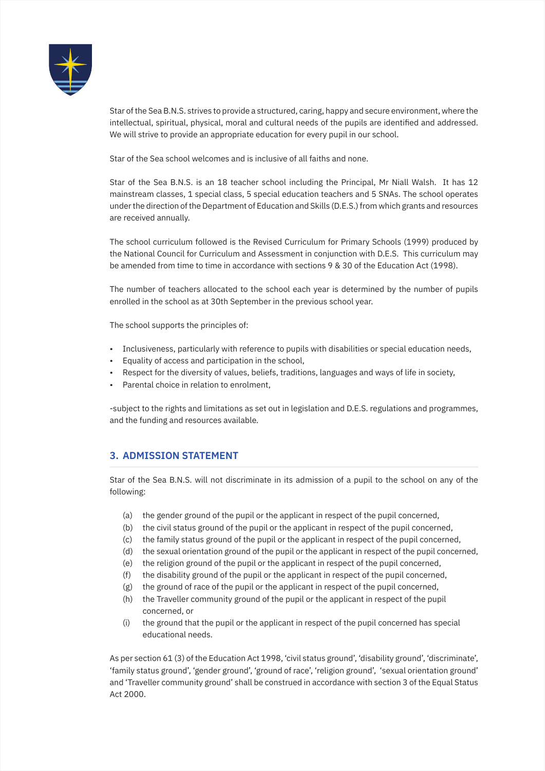

Star of the Sea B.N.S. strives to provide a structured, caring, happy and secure environment, where the intellectual, spiritual, physical, moral and cultural needs of the pupils are identified and addressed. We will strive to provide an appropriate education for every pupil in our school.

Star of the Sea school welcomes and is inclusive of all faiths and none.

Star of the Sea B.N.S. is an 18 teacher school including the Principal, Mr Niall Walsh. It has 12 mainstream classes, 1 special class, 5 special education teachers and 5 SNAs. The school operates under the direction of the Department of Education and Skills (D.E.S.) from which grants and resources are received annually.

The school curriculum followed is the Revised Curriculum for Primary Schools (1999) produced by the National Council for Curriculum and Assessment in conjunction with D.E.S. This curriculum may be amended from time to time in accordance with sections 9 & 30 of the Education Act (1998).

The number of teachers allocated to the school each year is determined by the number of pupils enrolled in the school as at 30th September in the previous school year.

The school supports the principles of:

- Inclusiveness, particularly with reference to pupils with disabilities or special education needs,
- Equality of access and participation in the school,
- Respect for the diversity of values, beliefs, traditions, languages and ways of life in society,
- Parental choice in relation to enrolment,

-subject to the rights and limitations as set out in legislation and D.E.S. regulations and programmes, and the funding and resources available.

#### **3. ADMISSION STATEMENT**

Star of the Sea B.N.S. will not discriminate in its admission of a pupil to the school on any of the following:

- (a) the gender ground of the pupil or the applicant in respect of the pupil concerned,
- (b) the civil status ground of the pupil or the applicant in respect of the pupil concerned,
- (c) the family status ground of the pupil or the applicant in respect of the pupil concerned,
- (d) the sexual orientation ground of the pupil or the applicant in respect of the pupil concerned,
- (e) the religion ground of the pupil or the applicant in respect of the pupil concerned,
- (f) the disability ground of the pupil or the applicant in respect of the pupil concerned,
- (g) the ground of race of the pupil or the applicant in respect of the pupil concerned,
- (h) the Traveller community ground of the pupil or the applicant in respect of the pupil concerned, or
- (i) the ground that the pupil or the applicant in respect of the pupil concerned has special educational needs.

As per section 61 (3) of the Education Act 1998, 'civil status ground', 'disability ground', 'discriminate', 'family status ground', 'gender ground', 'ground of race', 'religion ground', 'sexual orientation ground' and 'Traveller community ground' shall be construed in accordance with section 3 of the Equal Status Act 2000.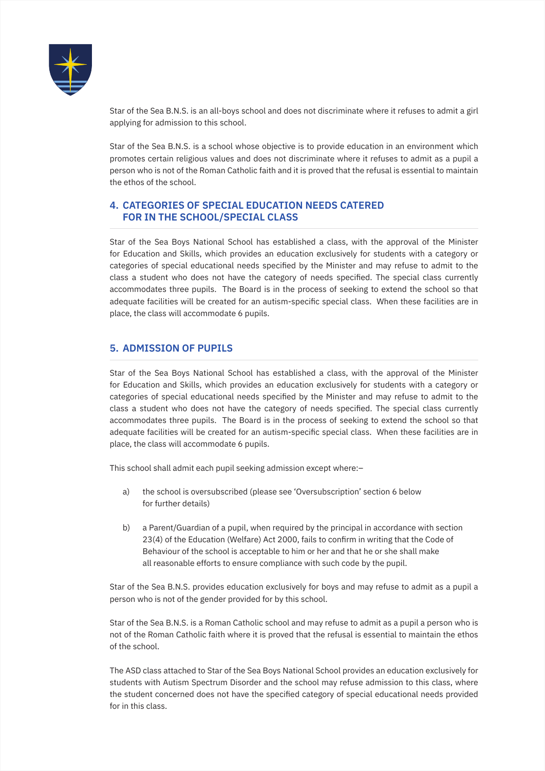

Star of the Sea B.N.S. is an all-boys school and does not discriminate where it refuses to admit a girl applying for admission to this school.

Star of the Sea B.N.S. is a school whose objective is to provide education in an environment which promotes certain religious values and does not discriminate where it refuses to admit as a pupil a person who is not of the Roman Catholic faith and it is proved that the refusal is essential to maintain the ethos of the school.

#### **4. CATEGORIES OF SPECIAL EDUCATION NEEDS CATERED FOR IN THE SCHOOL/SPECIAL CLASS**

Star of the Sea Boys National School has established a class, with the approval of the Minister for Education and Skills, which provides an education exclusively for students with a category or categories of special educational needs specified by the Minister and may refuse to admit to the class a student who does not have the category of needs specified. The special class currently accommodates three pupils. The Board is in the process of seeking to extend the school so that adequate facilities will be created for an autism-specific special class. When these facilities are in place, the class will accommodate 6 pupils.

# **5. ADMISSION OF PUPILS**

Star of the Sea Boys National School has established a class, with the approval of the Minister for Education and Skills, which provides an education exclusively for students with a category or categories of special educational needs specified by the Minister and may refuse to admit to the class a student who does not have the category of needs specified. The special class currently accommodates three pupils. The Board is in the process of seeking to extend the school so that adequate facilities will be created for an autism-specific special class. When these facilities are in place, the class will accommodate 6 pupils.

This school shall admit each pupil seeking admission except where:–

- a) the school is oversubscribed (please see 'Oversubscription' section 6 below for further details)
- b) a Parent/Guardian of a pupil, when required by the principal in accordance with section 23(4) of the Education (Welfare) Act 2000, fails to confirm in writing that the Code of Behaviour of the school is acceptable to him or her and that he or she shall make all reasonable efforts to ensure compliance with such code by the pupil.

Star of the Sea B.N.S. provides education exclusively for boys and may refuse to admit as a pupil a person who is not of the gender provided for by this school.

Star of the Sea B.N.S. is a Roman Catholic school and may refuse to admit as a pupil a person who is not of the Roman Catholic faith where it is proved that the refusal is essential to maintain the ethos of the school.

The ASD class attached to Star of the Sea Boys National School provides an education exclusively for students with Autism Spectrum Disorder and the school may refuse admission to this class, where the student concerned does not have the specified category of special educational needs provided for in this class.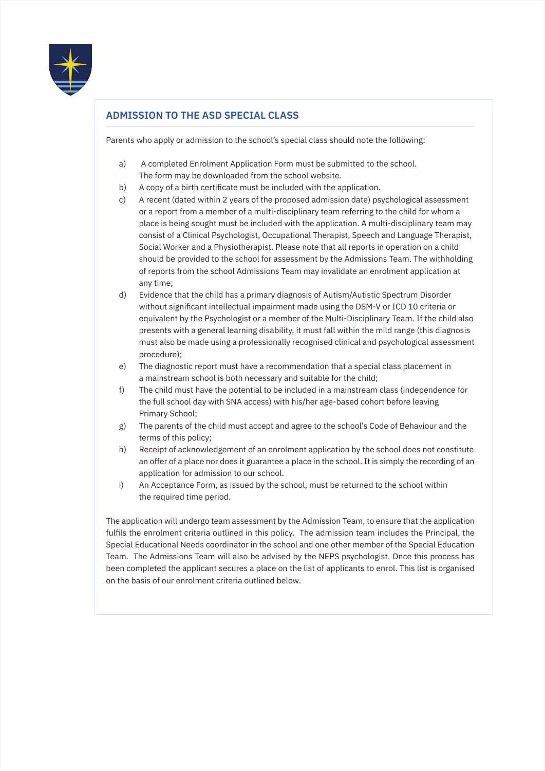

# **ADMISSION TO THE ASD SPECIAL CLASS**

Parents who apply or admission to the school's special class should note the following:

- a) A completed Enrolment Application Form must be submitted to the school. The form may be downloaded from the school website.
- b) A copy of a birth certificate must be included with the application.
- c) A recent (dated within 2 years of the proposed admission date) psychological assessment or a report from a member of a multi-disciplinary team referring to the child for whom a place is being sought must be included with the application. A multi-disciplinary team may consist of a Clinical Psychologist, Occupational Therapist, Speech and Language Therapist, Social Worker and a Physiotherapist. Please note that all reports in operation on a child should be provided to the school for assessment by the Admissions Team. The withholding of reports from the school Admissions Team may invalidate an enrolment application at any time;
- d) Evidence that the child has a primary diagnosis of Autism/Autistic Spectrum Disorder without significant intellectual impairment made using the DSM-V or ICD 10 criteria or equivalent by the Psychologist or a member of the Multi-Disciplinary Team. If the child also presents with a general learning disability, it must fall within the mild range (this diagnosis must also be made using a professionally recognised clinical and psychological assessment procedure);
- e) The diagnostic report must have a recommendation that a special class placement in a mainstream school is both necessary and suitable for the child;
- f) The child must have the potential to be included in a mainstream class (independence for the full school day with SNA access) with his/her age-based cohort before leaving Primary School;
- g) The parents of the child must accept and agree to the school's Code of Behaviour and the terms of this policy;
- h) Receipt of acknowledgement of an enrolment application by the school does not constitute an offer of a place nor does it guarantee a place in the school. It is simply the recording of an application for admission to our school.
- i) An Acceptance Form, as issued by the school, must be returned to the school within the required time period.

The application will undergo team assessment by the Admission Team, to ensure that the application fulfils the enrolment criteria outlined in this policy. The admission team includes the Principal, the Special Educational Needs coordinator in the school and one other member of the Special Education Team. The Admissions Team will also be advised by the NEPS psychologist. Once this process has been completed the applicant secures a place on the list of applicants to enrol. This list is organised on the basis of our enrolment criteria outlined below.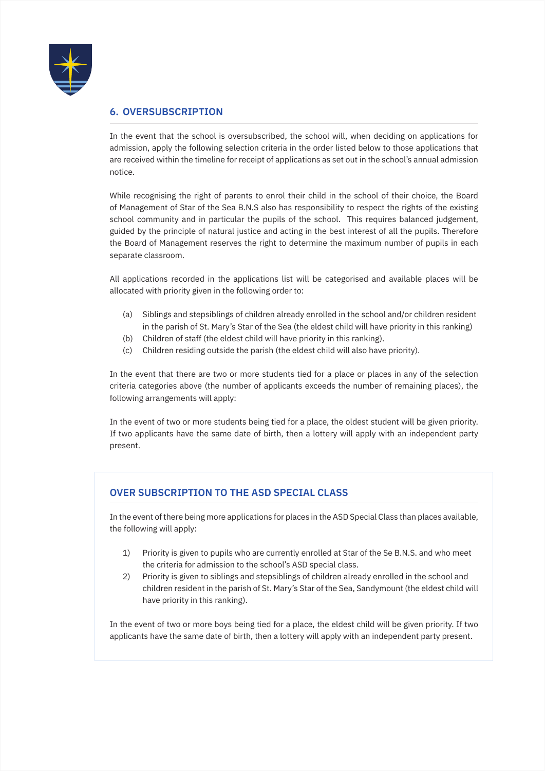

# **6. OVERSUBSCRIPTION**

In the event that the school is oversubscribed, the school will, when deciding on applications for admission, apply the following selection criteria in the order listed below to those applications that are received within the timeline for receipt of applications as set out in the school's annual admission notice.

While recognising the right of parents to enrol their child in the school of their choice, the Board of Management of Star of the Sea B.N.S also has responsibility to respect the rights of the existing school community and in particular the pupils of the school. This requires balanced judgement, guided by the principle of natural justice and acting in the best interest of all the pupils. Therefore the Board of Management reserves the right to determine the maximum number of pupils in each separate classroom.

All applications recorded in the applications list will be categorised and available places will be allocated with priority given in the following order to:

- (a) Siblings and stepsiblings of children already enrolled in the school and/or children resident in the parish of St. Mary's Star of the Sea (the eldest child will have priority in this ranking)
- (b) Children of staff (the eldest child will have priority in this ranking).
- (c) Children residing outside the parish (the eldest child will also have priority).

In the event that there are two or more students tied for a place or places in any of the selection criteria categories above (the number of applicants exceeds the number of remaining places), the following arrangements will apply:

In the event of two or more students being tied for a place, the oldest student will be given priority. If two applicants have the same date of birth, then a lottery will apply with an independent party present.

# **OVER SUBSCRIPTION TO THE ASD SPECIAL CLASS**

In the event of there being more applications for places in the ASD Special Class than places available, the following will apply:

- 1) Priority is given to pupils who are currently enrolled at Star of the Se B.N.S. and who meet the criteria for admission to the school's ASD special class.
- 2) Priority is given to siblings and stepsiblings of children already enrolled in the school and children resident in the parish of St. Mary's Star of the Sea, Sandymount (the eldest child will have priority in this ranking).

In the event of two or more boys being tied for a place, the eldest child will be given priority. If two applicants have the same date of birth, then a lottery will apply with an independent party present.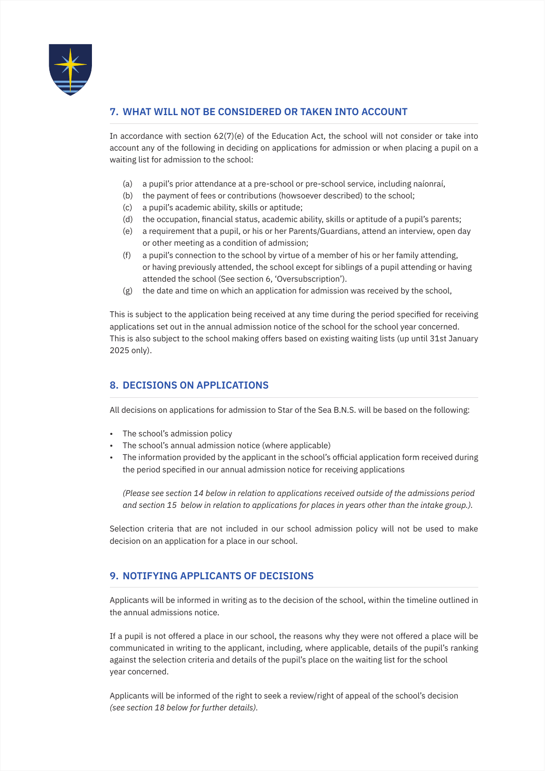

# **7. WHAT WILL NOT BE CONSIDERED OR TAKEN INTO ACCOUNT**

In accordance with section  $62(7)(e)$  of the Education Act, the school will not consider or take into account any of the following in deciding on applications for admission or when placing a pupil on a waiting list for admission to the school:

- (a) a pupil's prior attendance at a pre-school or pre-school service, including naíonraí,
- (b) the payment of fees or contributions (howsoever described) to the school;
- (c) a pupil's academic ability, skills or aptitude;
- (d) the occupation, financial status, academic ability, skills or aptitude of a pupil's parents;
- (e) a requirement that a pupil, or his or her Parents/Guardians, attend an interview, open day or other meeting as a condition of admission;
- (f) a pupil's connection to the school by virtue of a member of his or her family attending, or having previously attended, the school except for siblings of a pupil attending or having attended the school (See section 6, 'Oversubscription').
- (g) the date and time on which an application for admission was received by the school,

This is subject to the application being received at any time during the period specified for receiving applications set out in the annual admission notice of the school for the school year concerned. This is also subject to the school making offers based on existing waiting lists (up until 31st January 2025 only).

# **8. DECISIONS ON APPLICATIONS**

All decisions on applications for admission to Star of the Sea B.N.S. will be based on the following:

- The school's admission policy
- The school's annual admission notice (where applicable)
- The information provided by the applicant in the school's official application form received during the period specified in our annual admission notice for receiving applications

*(Please see section 14 below in relation to applications received outside of the admissions period and section 15 below in relation to applications for places in years other than the intake group.).*

Selection criteria that are not included in our school admission policy will not be used to make decision on an application for a place in our school.

# **9. NOTIFYING APPLICANTS OF DECISIONS**

Applicants will be informed in writing as to the decision of the school, within the timeline outlined in the annual admissions notice.

If a pupil is not offered a place in our school, the reasons why they were not offered a place will be communicated in writing to the applicant, including, where applicable, details of the pupil's ranking against the selection criteria and details of the pupil's place on the waiting list for the school year concerned.

Applicants will be informed of the right to seek a review/right of appeal of the school's decision *(see section 18 below for further details).*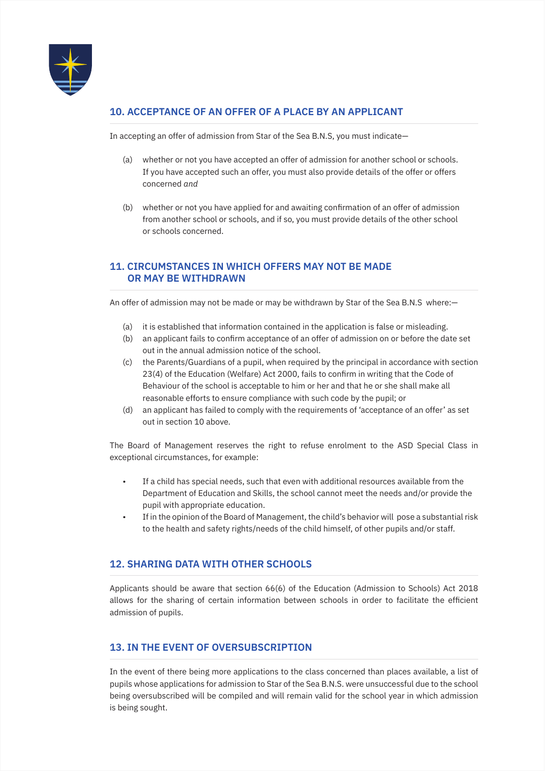

# **10. ACCEPTANCE OF AN OFFER OF A PLACE BY AN APPLICANT**

In accepting an offer of admission from Star of the Sea B.N.S, you must indicate—

- (a) whether or not you have accepted an offer of admission for another school or schools. If you have accepted such an offer, you must also provide details of the offer or offers concerned *and*
- (b) whether or not you have applied for and awaiting confirmation of an offer of admission from another school or schools, and if so, you must provide details of the other school or schools concerned.

# **11. CIRCUMSTANCES IN WHICH OFFERS MAY NOT BE MADE OR MAY BE WITHDRAWN**

An offer of admission may not be made or may be withdrawn by Star of the Sea B.N.S where:—

- (a) it is established that information contained in the application is false or misleading.
- (b) an applicant fails to confirm acceptance of an offer of admission on or before the date set out in the annual admission notice of the school.
- (c) the Parents/Guardians of a pupil, when required by the principal in accordance with section 23(4) of the Education (Welfare) Act 2000, fails to confirm in writing that the Code of Behaviour of the school is acceptable to him or her and that he or she shall make all reasonable efforts to ensure compliance with such code by the pupil; or
- (d) an applicant has failed to comply with the requirements of 'acceptance of an offer' as set out in section 10 above.

The Board of Management reserves the right to refuse enrolment to the ASD Special Class in exceptional circumstances, for example:

- If a child has special needs, such that even with additional resources available from the Department of Education and Skills, the school cannot meet the needs and/or provide the pupil with appropriate education.
- If in the opinion of the Board of Management, the child's behavior will pose a substantial risk to the health and safety rights/needs of the child himself, of other pupils and/or staff.

# **12. SHARING DATA WITH OTHER SCHOOLS**

Applicants should be aware that section 66(6) of the Education (Admission to Schools) Act 2018 allows for the sharing of certain information between schools in order to facilitate the efficient admission of pupils.

# **13. IN THE EVENT OF OVERSUBSCRIPTION**

In the event of there being more applications to the class concerned than places available, a list of pupils whose applications for admission to Star of the Sea B.N.S. were unsuccessful due to the school being oversubscribed will be compiled and will remain valid for the school year in which admission is being sought.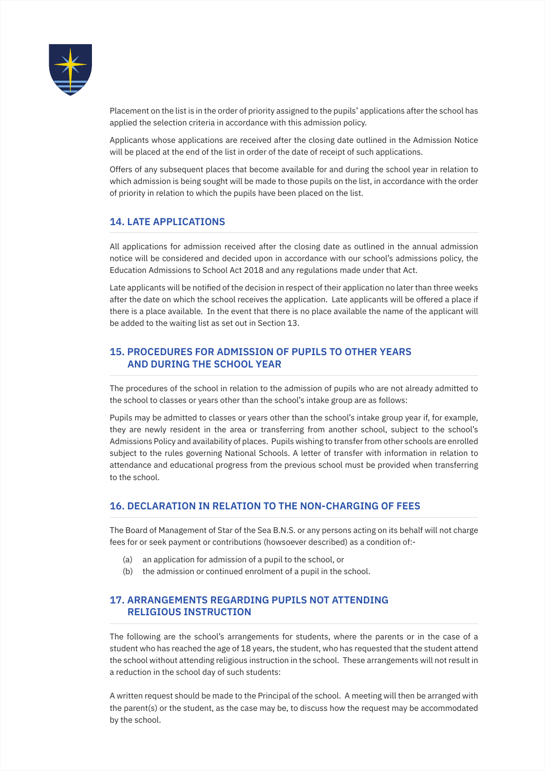

Placement on the list is in the order of priority assigned to the pupils' applications after the school has applied the selection criteria in accordance with this admission policy.

Applicants whose applications are received after the closing date outlined in the Admission Notice will be placed at the end of the list in order of the date of receipt of such applications.

Offers of any subsequent places that become available for and during the school year in relation to which admission is being sought will be made to those pupils on the list, in accordance with the order of priority in relation to which the pupils have been placed on the list.

# **14. LATE APPLICATIONS**

All applications for admission received after the closing date as outlined in the annual admission notice will be considered and decided upon in accordance with our school's admissions policy, the Education Admissions to School Act 2018 and any regulations made under that Act.

Late applicants will be notified of the decision in respect of their application no later than three weeks after the date on which the school receives the application. Late applicants will be offered a place if there is a place available. In the event that there is no place available the name of the applicant will be added to the waiting list as set out in Section 13.

# **15. PROCEDURES FOR ADMISSION OF PUPILS TO OTHER YEARS AND DURING THE SCHOOL YEAR**

The procedures of the school in relation to the admission of pupils who are not already admitted to the school to classes or years other than the school's intake group are as follows:

Pupils may be admitted to classes or years other than the school's intake group year if, for example, they are newly resident in the area or transferring from another school, subject to the school's Admissions Policy and availability of places. Pupils wishing to transfer from other schools are enrolled subject to the rules governing National Schools. A letter of transfer with information in relation to attendance and educational progress from the previous school must be provided when transferring to the school.

#### **16. DECLARATION IN RELATION TO THE NON-CHARGING OF FEES**

The Board of Management of Star of the Sea B.N.S. or any persons acting on its behalf will not charge fees for or seek payment or contributions (howsoever described) as a condition of:-

- (a) an application for admission of a pupil to the school, or
- (b) the admission or continued enrolment of a pupil in the school.

# **17. ARRANGEMENTS REGARDING PUPILS NOT ATTENDING RELIGIOUS INSTRUCTION**

The following are the school's arrangements for students, where the parents or in the case of a student who has reached the age of 18 years, the student, who has requested that the student attend the school without attending religious instruction in the school. These arrangements will not result in a reduction in the school day of such students:

A written request should be made to the Principal of the school. A meeting will then be arranged with the parent(s) or the student, as the case may be, to discuss how the request may be accommodated by the school.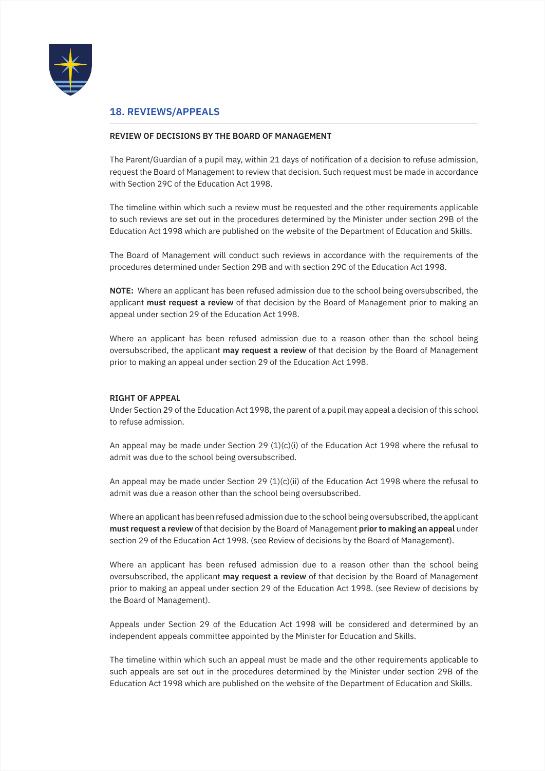

#### **18. REVIEWS/APPEALS**

#### **REVIEW OF DECISIONS BY THE BOARD OF MANAGEMENT**

The Parent/Guardian of a pupil may, within 21 days of notification of a decision to refuse admission, request the Board of Management to review that decision. Such request must be made in accordance with Section 29C of the Education Act 1998.

The timeline within which such a review must be requested and the other requirements applicable to such reviews are set out in the procedures determined by the Minister under section 29B of the Education Act 1998 which are published on the website of the Department of Education and Skills.

The Board of Management will conduct such reviews in accordance with the requirements of the procedures determined under Section 29B and with section 29C of the Education Act 1998.

**NOTE:** Where an applicant has been refused admission due to the school being oversubscribed, the applicant **must request a review** of that decision by the Board of Management prior to making an appeal under section 29 of the Education Act 1998.

Where an applicant has been refused admission due to a reason other than the school being oversubscribed, the applicant **may request a review** of that decision by the Board of Management prior to making an appeal under section 29 of the Education Act 1998.

#### **RIGHT OF APPEAL**

Under Section 29 of the Education Act 1998, the parent of a pupil may appeal a decision of this school to refuse admission.

An appeal may be made under Section 29  $(1)(c)(i)$  of the Education Act 1998 where the refusal to admit was due to the school being oversubscribed.

An appeal may be made under Section 29  $(1)(c)(ii)$  of the Education Act 1998 where the refusal to admit was due a reason other than the school being oversubscribed.

Where an applicant has been refused admission due to the school being oversubscribed, the applicant **must request a review** of that decision by the Board of Management **prior to making an appeal** under section 29 of the Education Act 1998. (see Review of decisions by the Board of Management).

Where an applicant has been refused admission due to a reason other than the school being oversubscribed, the applicant **may request a review** of that decision by the Board of Management prior to making an appeal under section 29 of the Education Act 1998. (see Review of decisions by the Board of Management).

Appeals under Section 29 of the Education Act 1998 will be considered and determined by an independent appeals committee appointed by the Minister for Education and Skills.

The timeline within which such an appeal must be made and the other requirements applicable to such appeals are set out in the procedures determined by the Minister under section 29B of the Education Act 1998 which are published on the website of the Department of Education and Skills.